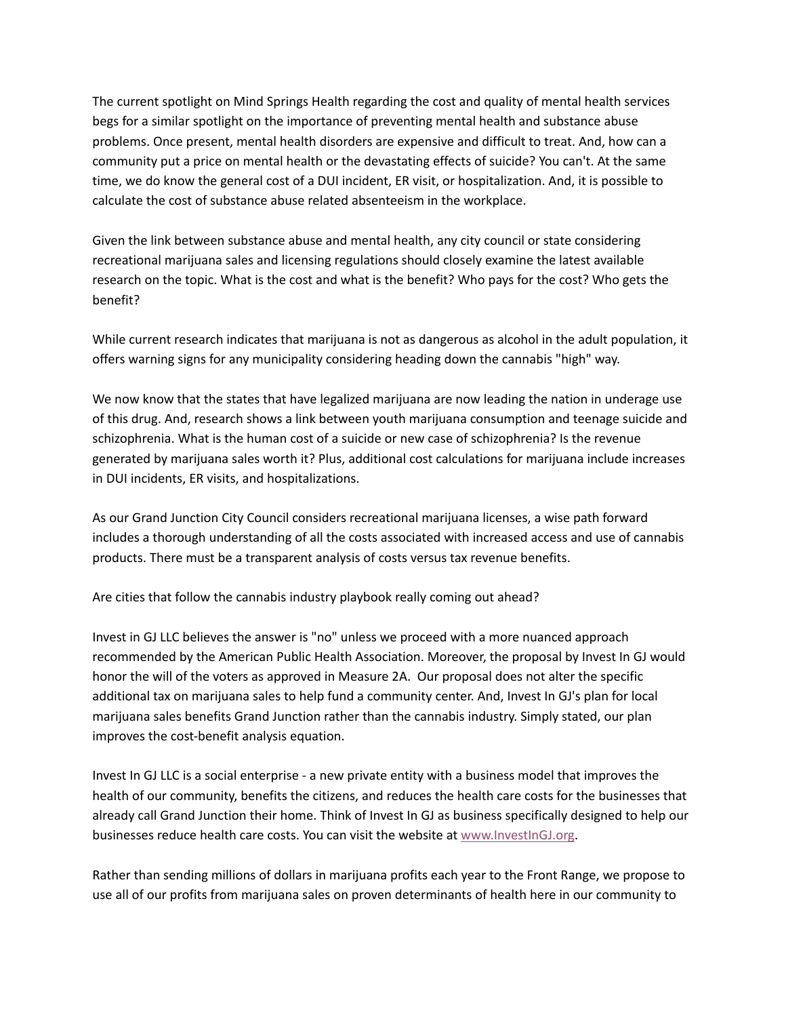The current spotlight on Mind Springs Health regarding the cost and quality of mental health services begs for a similar spotlight on the importance of preventing mental health and substance abuse problems. Once present, mental health disorders are expensive and difficult to treat. And, how can a community put a price on mental health or the devastating effects of suicide? You can't. At the same time, we do know the general cost of a DUI incident, ER visit, or hospitalization. And, it is possible to calculate the cost of substance abuse related absenteeism in the workplace.

Given the link between substance abuse and mental health, any city council or state considering recreational marijuana sales and licensing regulations should closely examine the latest available research on the topic. What is the cost and what is the benefit? Who pays for the cost? Who gets the benefit?

While current research indicates that marijuana is not as dangerous as alcohol in the adult population, it offers warning signs for any municipality considering heading down the cannabis "high" way.

We now know that the states that have legalized marijuana are now leading the nation in underage use of this drug. And, research shows a link between youth marijuana consumption and teenage suicide and schizophrenia. What is the human cost of a suicide or new case of schizophrenia? Is the revenue generated by marijuana sales worth it? Plus, additional cost calculations for marijuana include increases in DUI incidents, ER visits, and hospitalizations.

As our Grand Junction City Council considers recreational marijuana licenses, a wise path forward includes a thorough understanding of all the costs associated with increased access and use of cannabis products. There must be a transparent analysis of costs versus tax revenue benefits.

Are cities that follow the cannabis industry playbook really coming out ahead?

Invest in GJ LLC believes the answer is "no" unless we proceed with a more nuanced approach recommended by the American Public Health Association. Moreover, the proposal by Invest In GJ would honor the will of the voters as approved in Measure 2A. Our proposal does not alter the specific additional tax on marijuana sales to help fund a community center. And, Invest In GJ's plan for local marijuana sales benefits Grand Junction rather than the cannabis industry. Simply stated, our plan improves the cost-benefit analysis equation.

Invest In GJ LLC is a social enterprise - a new private entity with a business model that improves the health of our community, benefits the citizens, and reduces the health care costs for the businesses that already call Grand Junction their home. Think of Invest In GJ as business specifically designed to help our businesses reduce health care costs. You can visit the website at [www.InvestInGJ.org.](http://www.investingj.org/)

Rather than sending millions of dollars in marijuana profits each year to the Front Range, we propose to use all of our profits from marijuana sales on proven determinants of health here in our community to